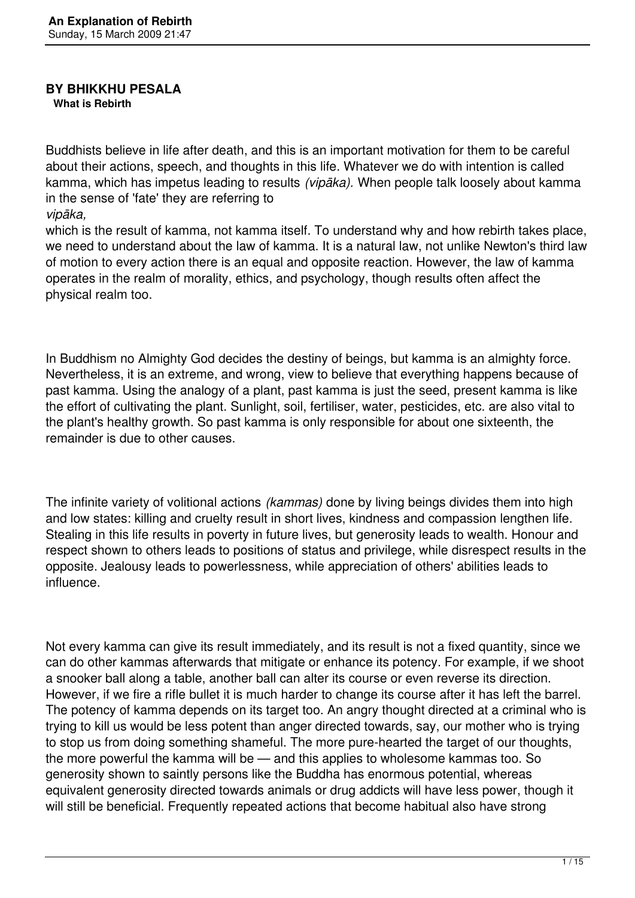#### **BY BHIKKHU PESALA What is Rebirth**

Buddhists believe in life after death, and this is an important motivation for them to be careful about their actions, speech, and thoughts in this life. Whatever we do with intention is called kamma, which has impetus leading to results *(vipāka).* When people talk loosely about kamma in the sense of 'fate' they are referring to *vipāka,* 

which is the result of kamma, not kamma itself. To understand why and how rebirth takes place, we need to understand about the law of kamma. It is a natural law, not unlike Newton's third law of motion to every action there is an equal and opposite reaction. However, the law of kamma operates in the realm of morality, ethics, and psychology, though results often affect the physical realm too.

In Buddhism no Almighty God decides the destiny of beings, but kamma is an almighty force. Nevertheless, it is an extreme, and wrong, view to believe that everything happens because of past kamma. Using the analogy of a plant, past kamma is just the seed, present kamma is like the effort of cultivating the plant. Sunlight, soil, fertiliser, water, pesticides, etc. are also vital to the plant's healthy growth. So past kamma is only responsible for about one sixteenth, the remainder is due to other causes.

The infinite variety of volitional actions *(kammas)* done by living beings divides them into high and low states: killing and cruelty result in short lives, kindness and compassion lengthen life. Stealing in this life results in poverty in future lives, but generosity leads to wealth. Honour and respect shown to others leads to positions of status and privilege, while disrespect results in the opposite. Jealousy leads to powerlessness, while appreciation of others' abilities leads to influence.

Not every kamma can give its result immediately, and its result is not a fixed quantity, since we can do other kammas afterwards that mitigate or enhance its potency. For example, if we shoot a snooker ball along a table, another ball can alter its course or even reverse its direction. However, if we fire a rifle bullet it is much harder to change its course after it has left the barrel. The potency of kamma depends on its target too. An angry thought directed at a criminal who is trying to kill us would be less potent than anger directed towards, say, our mother who is trying to stop us from doing something shameful. The more pure-hearted the target of our thoughts, the more powerful the kamma will be — and this applies to wholesome kammas too. So generosity shown to saintly persons like the Buddha has enormous potential, whereas equivalent generosity directed towards animals or drug addicts will have less power, though it will still be beneficial. Frequently repeated actions that become habitual also have strong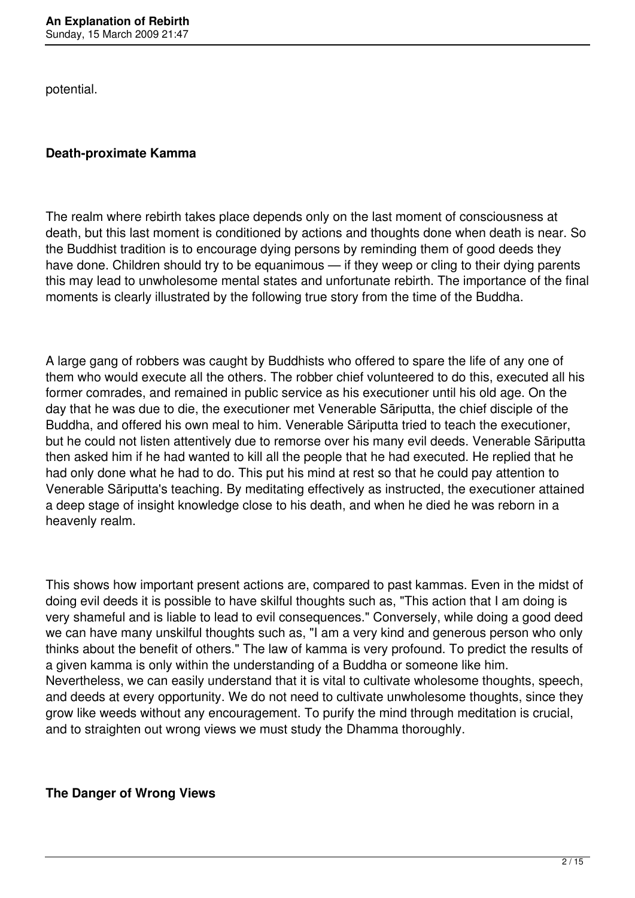potential.

### **Death-proximate Kamma**

The realm where rebirth takes place depends only on the last moment of consciousness at death, but this last moment is conditioned by actions and thoughts done when death is near. So the Buddhist tradition is to encourage dying persons by reminding them of good deeds they have done. Children should try to be equanimous — if they weep or cling to their dying parents this may lead to unwholesome mental states and unfortunate rebirth. The importance of the final moments is clearly illustrated by the following true story from the time of the Buddha.

A large gang of robbers was caught by Buddhists who offered to spare the life of any one of them who would execute all the others. The robber chief volunteered to do this, executed all his former comrades, and remained in public service as his executioner until his old age. On the day that he was due to die, the executioner met Venerable Sāriputta, the chief disciple of the Buddha, and offered his own meal to him. Venerable Sāriputta tried to teach the executioner, but he could not listen attentively due to remorse over his many evil deeds. Venerable Sāriputta then asked him if he had wanted to kill all the people that he had executed. He replied that he had only done what he had to do. This put his mind at rest so that he could pay attention to Venerable Sāriputta's teaching. By meditating effectively as instructed, the executioner attained a deep stage of insight knowledge close to his death, and when he died he was reborn in a heavenly realm.

This shows how important present actions are, compared to past kammas. Even in the midst of doing evil deeds it is possible to have skilful thoughts such as, "This action that I am doing is very shameful and is liable to lead to evil consequences." Conversely, while doing a good deed we can have many unskilful thoughts such as, "I am a very kind and generous person who only thinks about the benefit of others." The law of kamma is very profound. To predict the results of a given kamma is only within the understanding of a Buddha or someone like him. Nevertheless, we can easily understand that it is vital to cultivate wholesome thoughts, speech, and deeds at every opportunity. We do not need to cultivate unwholesome thoughts, since they grow like weeds without any encouragement. To purify the mind through meditation is crucial, and to straighten out wrong views we must study the Dhamma thoroughly.

**The Danger of Wrong Views**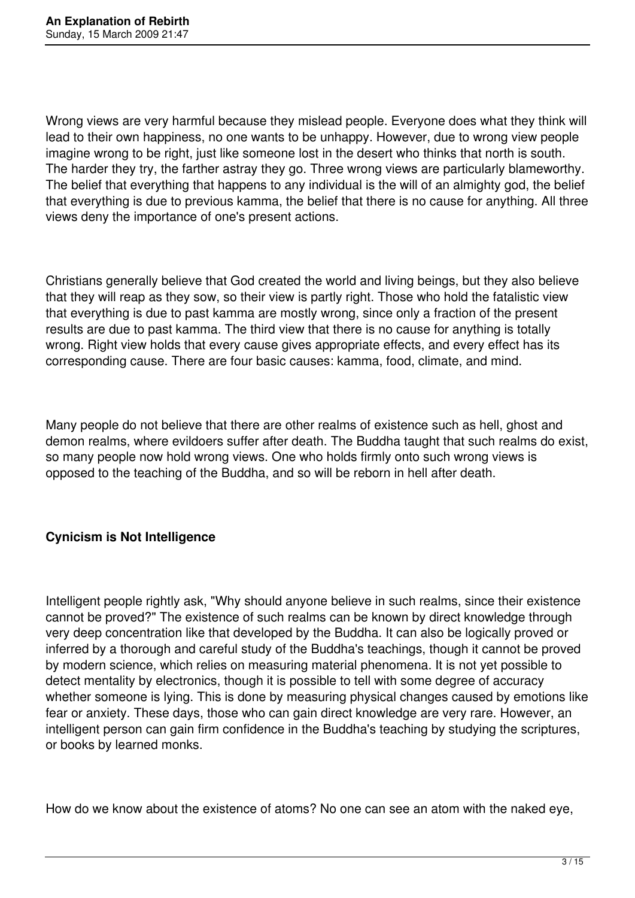Wrong views are very harmful because they mislead people. Everyone does what they think will lead to their own happiness, no one wants to be unhappy. However, due to wrong view people imagine wrong to be right, just like someone lost in the desert who thinks that north is south. The harder they try, the farther astray they go. Three wrong views are particularly blameworthy. The belief that everything that happens to any individual is the will of an almighty god, the belief that everything is due to previous kamma, the belief that there is no cause for anything. All three views deny the importance of one's present actions.

Christians generally believe that God created the world and living beings, but they also believe that they will reap as they sow, so their view is partly right. Those who hold the fatalistic view that everything is due to past kamma are mostly wrong, since only a fraction of the present results are due to past kamma. The third view that there is no cause for anything is totally wrong. Right view holds that every cause gives appropriate effects, and every effect has its corresponding cause. There are four basic causes: kamma, food, climate, and mind.

Many people do not believe that there are other realms of existence such as hell, ghost and demon realms, where evildoers suffer after death. The Buddha taught that such realms do exist, so many people now hold wrong views. One who holds firmly onto such wrong views is opposed to the teaching of the Buddha, and so will be reborn in hell after death.

#### **Cynicism is Not Intelligence**

Intelligent people rightly ask, "Why should anyone believe in such realms, since their existence cannot be proved?" The existence of such realms can be known by direct knowledge through very deep concentration like that developed by the Buddha. It can also be logically proved or inferred by a thorough and careful study of the Buddha's teachings, though it cannot be proved by modern science, which relies on measuring material phenomena. It is not yet possible to detect mentality by electronics, though it is possible to tell with some degree of accuracy whether someone is lying. This is done by measuring physical changes caused by emotions like fear or anxiety. These days, those who can gain direct knowledge are very rare. However, an intelligent person can gain firm confidence in the Buddha's teaching by studying the scriptures, or books by learned monks.

How do we know about the existence of atoms? No one can see an atom with the naked eye,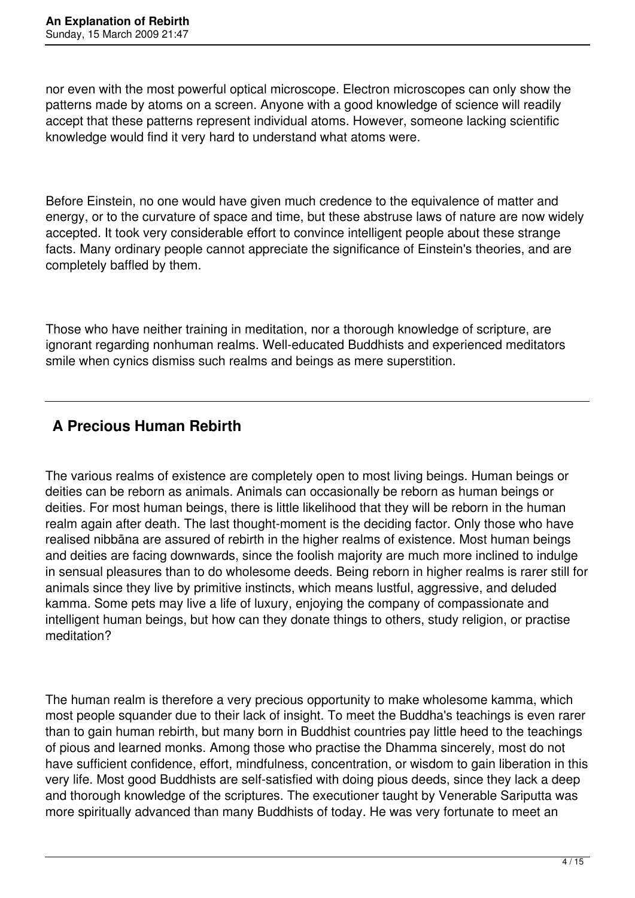nor even with the most powerful optical microscope. Electron microscopes can only show the patterns made by atoms on a screen. Anyone with a good knowledge of science will readily accept that these patterns represent individual atoms. However, someone lacking scientific knowledge would find it very hard to understand what atoms were.

Before Einstein, no one would have given much credence to the equivalence of matter and energy, or to the curvature of space and time, but these abstruse laws of nature are now widely accepted. It took very considerable effort to convince intelligent people about these strange facts. Many ordinary people cannot appreciate the significance of Einstein's theories, and are completely baffled by them.

Those who have neither training in meditation, nor a thorough knowledge of scripture, are ignorant regarding nonhuman realms. Well-educated Buddhists and experienced meditators smile when cynics dismiss such realms and beings as mere superstition.

# **A Precious Human Rebirth**

The various realms of existence are completely open to most living beings. Human beings or deities can be reborn as animals. Animals can occasionally be reborn as human beings or deities. For most human beings, there is little likelihood that they will be reborn in the human realm again after death. The last thought-moment is the deciding factor. Only those who have realised nibbāna are assured of rebirth in the higher realms of existence. Most human beings and deities are facing downwards, since the foolish majority are much more inclined to indulge in sensual pleasures than to do wholesome deeds. Being reborn in higher realms is rarer still for animals since they live by primitive instincts, which means lustful, aggressive, and deluded kamma. Some pets may live a life of luxury, enjoying the company of compassionate and intelligent human beings, but how can they donate things to others, study religion, or practise meditation?

The human realm is therefore a very precious opportunity to make wholesome kamma, which most people squander due to their lack of insight. To meet the Buddha's teachings is even rarer than to gain human rebirth, but many born in Buddhist countries pay little heed to the teachings of pious and learned monks. Among those who practise the Dhamma sincerely, most do not have sufficient confidence, effort, mindfulness, concentration, or wisdom to gain liberation in this very life. Most good Buddhists are self-satisfied with doing pious deeds, since they lack a deep and thorough knowledge of the scriptures. The executioner taught by Venerable Sariputta was more spiritually advanced than many Buddhists of today. He was very fortunate to meet an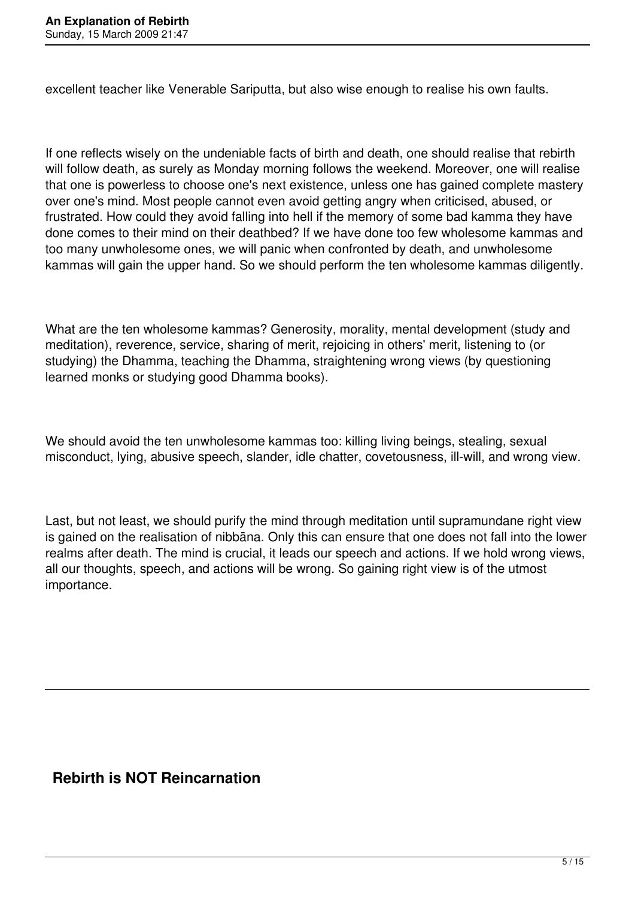excellent teacher like Venerable Sariputta, but also wise enough to realise his own faults.

If one reflects wisely on the undeniable facts of birth and death, one should realise that rebirth will follow death, as surely as Monday morning follows the weekend. Moreover, one will realise that one is powerless to choose one's next existence, unless one has gained complete mastery over one's mind. Most people cannot even avoid getting angry when criticised, abused, or frustrated. How could they avoid falling into hell if the memory of some bad kamma they have done comes to their mind on their deathbed? If we have done too few wholesome kammas and too many unwholesome ones, we will panic when confronted by death, and unwholesome kammas will gain the upper hand. So we should perform the ten wholesome kammas diligently.

What are the ten wholesome kammas? Generosity, morality, mental development (study and meditation), reverence, service, sharing of merit, rejoicing in others' merit, listening to (or studying) the Dhamma, teaching the Dhamma, straightening wrong views (by questioning learned monks or studying good Dhamma books).

We should avoid the ten unwholesome kammas too: killing living beings, stealing, sexual misconduct, lying, abusive speech, slander, idle chatter, covetousness, ill-will, and wrong view.

Last, but not least, we should purify the mind through meditation until supramundane right view is gained on the realisation of nibbāna. Only this can ensure that one does not fall into the lower realms after death. The mind is crucial, it leads our speech and actions. If we hold wrong views, all our thoughts, speech, and actions will be wrong. So gaining right view is of the utmost importance.

## **Rebirth is NOT Reincarnation**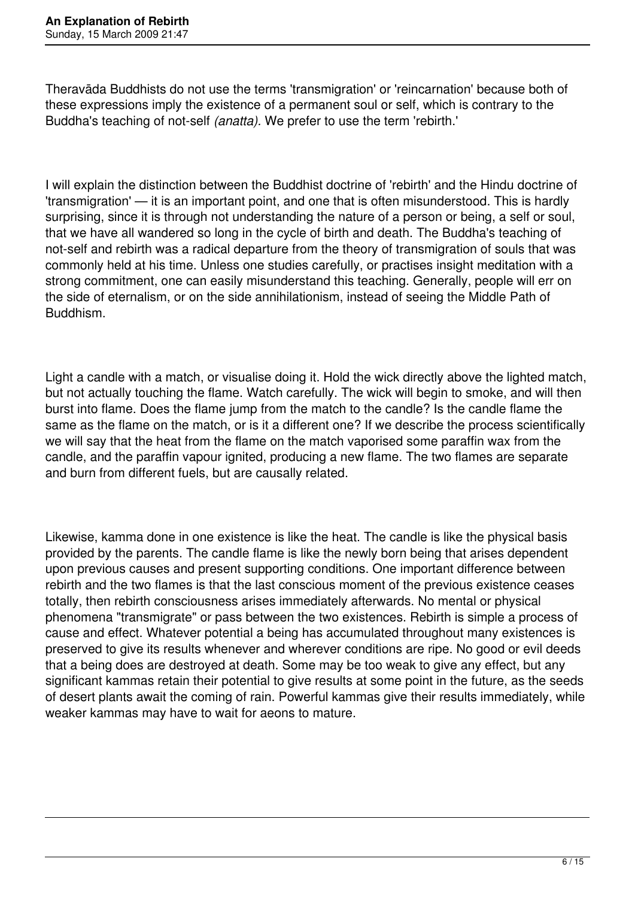Theravāda Buddhists do not use the terms 'transmigration' or 'reincarnation' because both of these expressions imply the existence of a permanent soul or self, which is contrary to the Buddha's teaching of not-self *(anatta).* We prefer to use the term 'rebirth.'

I will explain the distinction between the Buddhist doctrine of 'rebirth' and the Hindu doctrine of 'transmigration' — it is an important point, and one that is often misunderstood. This is hardly surprising, since it is through not understanding the nature of a person or being, a self or soul, that we have all wandered so long in the cycle of birth and death. The Buddha's teaching of not-self and rebirth was a radical departure from the theory of transmigration of souls that was commonly held at his time. Unless one studies carefully, or practises insight meditation with a strong commitment, one can easily misunderstand this teaching. Generally, people will err on the side of eternalism, or on the side annihilationism, instead of seeing the Middle Path of Buddhism.

Light a candle with a match, or visualise doing it. Hold the wick directly above the lighted match, but not actually touching the flame. Watch carefully. The wick will begin to smoke, and will then burst into flame. Does the flame jump from the match to the candle? Is the candle flame the same as the flame on the match, or is it a different one? If we describe the process scientifically we will say that the heat from the flame on the match vaporised some paraffin wax from the candle, and the paraffin vapour ignited, producing a new flame. The two flames are separate and burn from different fuels, but are causally related.

Likewise, kamma done in one existence is like the heat. The candle is like the physical basis provided by the parents. The candle flame is like the newly born being that arises dependent upon previous causes and present supporting conditions. One important difference between rebirth and the two flames is that the last conscious moment of the previous existence ceases totally, then rebirth consciousness arises immediately afterwards. No mental or physical phenomena "transmigrate" or pass between the two existences. Rebirth is simple a process of cause and effect. Whatever potential a being has accumulated throughout many existences is preserved to give its results whenever and wherever conditions are ripe. No good or evil deeds that a being does are destroyed at death. Some may be too weak to give any effect, but any significant kammas retain their potential to give results at some point in the future, as the seeds of desert plants await the coming of rain. Powerful kammas give their results immediately, while weaker kammas may have to wait for aeons to mature.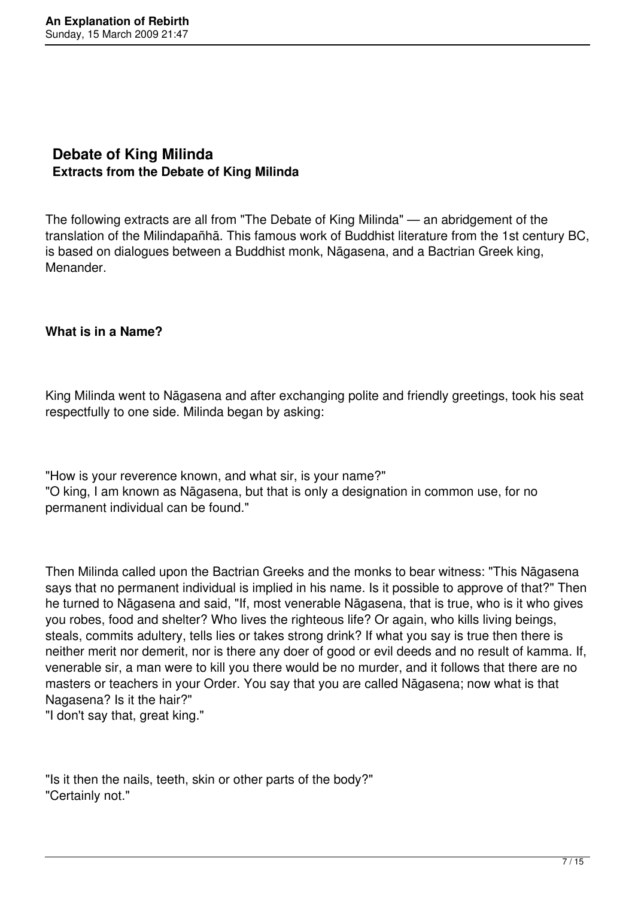## **Debate of King Milinda Extracts from the Debate of King Milinda**

The following extracts are all from "The Debate of King Milinda" — an abridgement of the translation of the Milindapañhā. This famous work of Buddhist literature from the 1st century BC, is based on dialogues between a Buddhist monk, Nāgasena, and a Bactrian Greek king, Menander.

#### **What is in a Name?**

King Milinda went to Nāgasena and after exchanging polite and friendly greetings, took his seat respectfully to one side. Milinda began by asking:

"How is your reverence known, and what sir, is your name?" "O king, I am known as Nāgasena, but that is only a designation in common use, for no permanent individual can be found."

Then Milinda called upon the Bactrian Greeks and the monks to bear witness: "This Nāgasena says that no permanent individual is implied in his name. Is it possible to approve of that?" Then he turned to Nāgasena and said, "If, most venerable Nāgasena, that is true, who is it who gives you robes, food and shelter? Who lives the righteous life? Or again, who kills living beings, steals, commits adultery, tells lies or takes strong drink? If what you say is true then there is neither merit nor demerit, nor is there any doer of good or evil deeds and no result of kamma. If, venerable sir, a man were to kill you there would be no murder, and it follows that there are no masters or teachers in your Order. You say that you are called Nāgasena; now what is that Nagasena? Is it the hair?"

"I don't say that, great king."

"Is it then the nails, teeth, skin or other parts of the body?" "Certainly not."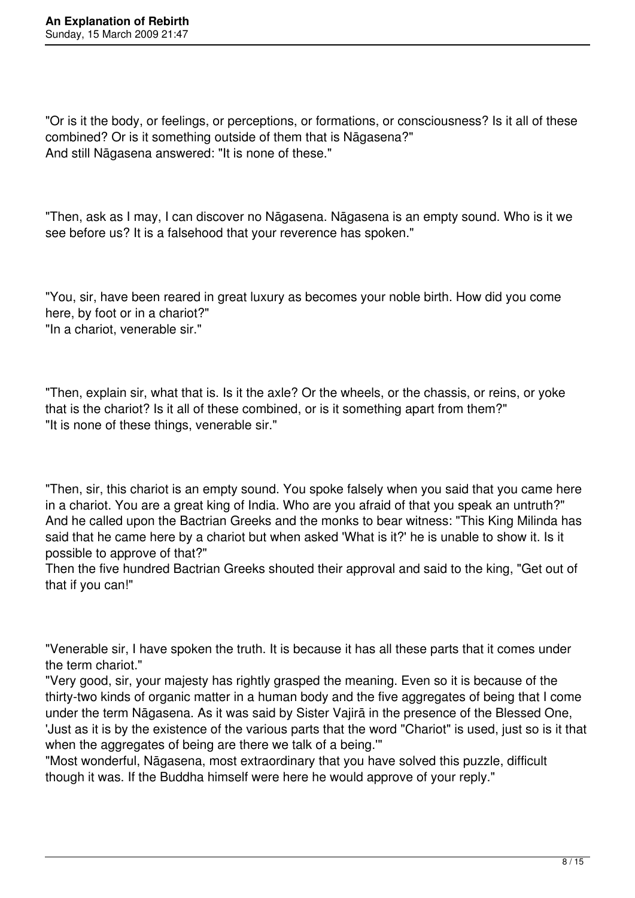"Or is it the body, or feelings, or perceptions, or formations, or consciousness? Is it all of these combined? Or is it something outside of them that is Nāgasena?" And still Nāgasena answered: "It is none of these."

"Then, ask as I may, I can discover no Nāgasena. Nāgasena is an empty sound. Who is it we see before us? It is a falsehood that your reverence has spoken."

"You, sir, have been reared in great luxury as becomes your noble birth. How did you come here, by foot or in a chariot?" "In a chariot, venerable sir."

"Then, explain sir, what that is. Is it the axle? Or the wheels, or the chassis, or reins, or yoke that is the chariot? Is it all of these combined, or is it something apart from them?" "It is none of these things, venerable sir."

"Then, sir, this chariot is an empty sound. You spoke falsely when you said that you came here in a chariot. You are a great king of India. Who are you afraid of that you speak an untruth?" And he called upon the Bactrian Greeks and the monks to bear witness: "This King Milinda has said that he came here by a chariot but when asked 'What is it?' he is unable to show it. Is it possible to approve of that?"

Then the five hundred Bactrian Greeks shouted their approval and said to the king, "Get out of that if you can!"

"Venerable sir, I have spoken the truth. It is because it has all these parts that it comes under the term chariot."

"Very good, sir, your majesty has rightly grasped the meaning. Even so it is because of the thirty-two kinds of organic matter in a human body and the five aggregates of being that I come under the term Nāgasena. As it was said by Sister Vajirā in the presence of the Blessed One, 'Just as it is by the existence of the various parts that the word "Chariot" is used, just so is it that when the aggregates of being are there we talk of a being."

"Most wonderful, Nāgasena, most extraordinary that you have solved this puzzle, difficult though it was. If the Buddha himself were here he would approve of your reply."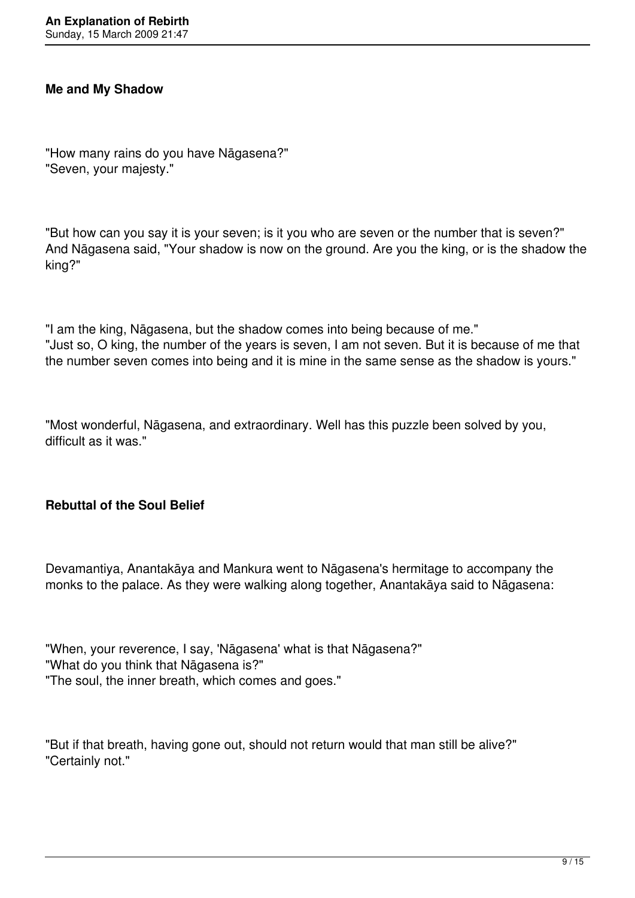#### **Me and My Shadow**

"How many rains do you have Nāgasena?" "Seven, your majesty."

"But how can you say it is your seven; is it you who are seven or the number that is seven?" And Nāgasena said, "Your shadow is now on the ground. Are you the king, or is the shadow the king?"

"I am the king, Nāgasena, but the shadow comes into being because of me." "Just so, O king, the number of the years is seven, I am not seven. But it is because of me that the number seven comes into being and it is mine in the same sense as the shadow is yours."

"Most wonderful, Nāgasena, and extraordinary. Well has this puzzle been solved by you, difficult as it was."

#### **Rebuttal of the Soul Belief**

Devamantiya, Anantakāya and Mankura went to Nāgasena's hermitage to accompany the monks to the palace. As they were walking along together, Anantakāya said to Nāgasena:

"When, your reverence, I say, 'Nāgasena' what is that Nāgasena?" "What do you think that Nāgasena is?" "The soul, the inner breath, which comes and goes."

"But if that breath, having gone out, should not return would that man still be alive?" "Certainly not."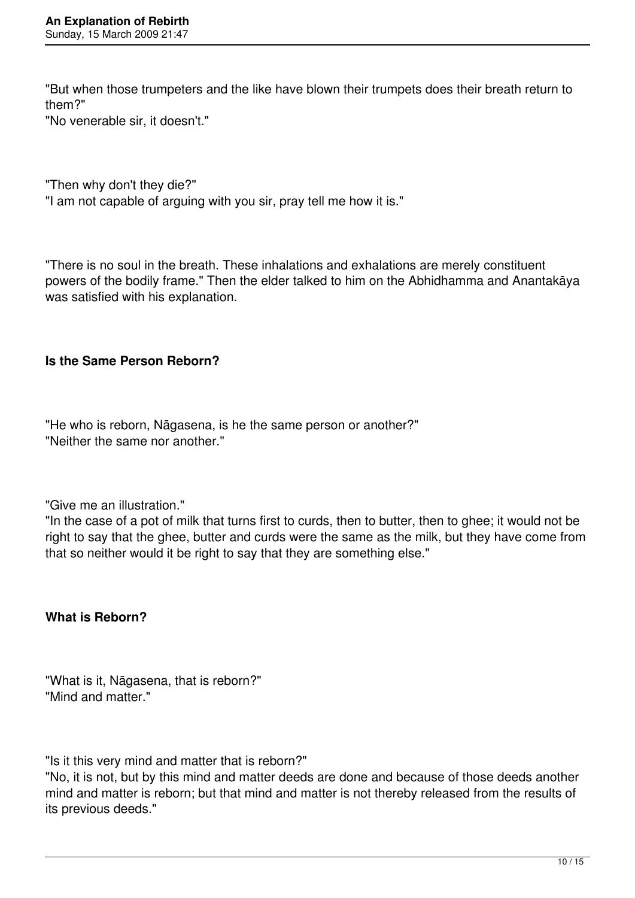"But when those trumpeters and the like have blown their trumpets does their breath return to them?"

"No venerable sir, it doesn't."

"Then why don't they die?"

"I am not capable of arguing with you sir, pray tell me how it is."

"There is no soul in the breath. These inhalations and exhalations are merely constituent powers of the bodily frame." Then the elder talked to him on the Abhidhamma and Anantakāya was satisfied with his explanation.

#### **Is the Same Person Reborn?**

"He who is reborn, Nāgasena, is he the same person or another?" "Neither the same nor another."

"Give me an illustration."

"In the case of a pot of milk that turns first to curds, then to butter, then to ghee; it would not be right to say that the ghee, butter and curds were the same as the milk, but they have come from that so neither would it be right to say that they are something else."

**What is Reborn?** 

"What is it, Nāgasena, that is reborn?" "Mind and matter."

"Is it this very mind and matter that is reborn?"

"No, it is not, but by this mind and matter deeds are done and because of those deeds another mind and matter is reborn; but that mind and matter is not thereby released from the results of its previous deeds."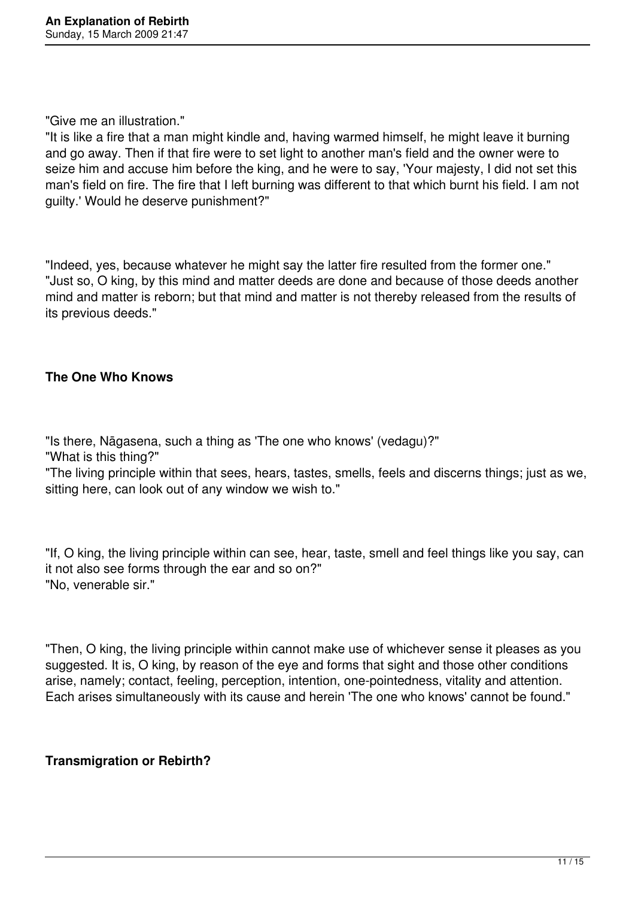#### "Give me an illustration."

"It is like a fire that a man might kindle and, having warmed himself, he might leave it burning and go away. Then if that fire were to set light to another man's field and the owner were to seize him and accuse him before the king, and he were to say, 'Your majesty, I did not set this man's field on fire. The fire that I left burning was different to that which burnt his field. I am not guilty.' Would he deserve punishment?"

"Indeed, yes, because whatever he might say the latter fire resulted from the former one." "Just so, O king, by this mind and matter deeds are done and because of those deeds another mind and matter is reborn; but that mind and matter is not thereby released from the results of its previous deeds."

#### **The One Who Knows**

"Is there, Nāgasena, such a thing as 'The one who knows' (vedagu)?"

"What is this thing?"

"The living principle within that sees, hears, tastes, smells, feels and discerns things; just as we, sitting here, can look out of any window we wish to."

"If, O king, the living principle within can see, hear, taste, smell and feel things like you say, can it not also see forms through the ear and so on?" "No, venerable sir."

"Then, O king, the living principle within cannot make use of whichever sense it pleases as you suggested. It is, O king, by reason of the eye and forms that sight and those other conditions arise, namely; contact, feeling, perception, intention, one-pointedness, vitality and attention. Each arises simultaneously with its cause and herein 'The one who knows' cannot be found."

### **Transmigration or Rebirth?**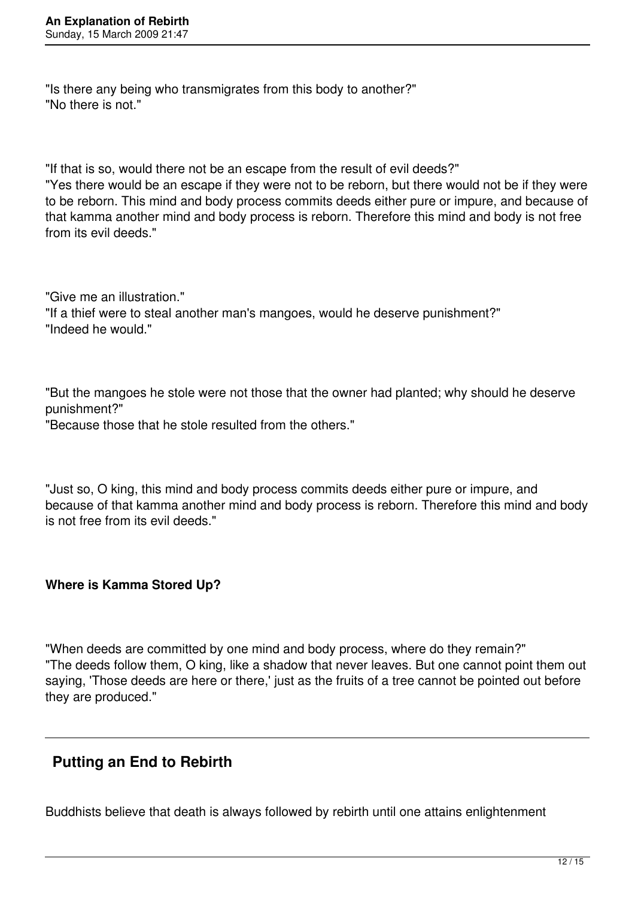"Is there any being who transmigrates from this body to another?" "No there is not."

"If that is so, would there not be an escape from the result of evil deeds?" "Yes there would be an escape if they were not to be reborn, but there would not be if they were to be reborn. This mind and body process commits deeds either pure or impure, and because of that kamma another mind and body process is reborn. Therefore this mind and body is not free from its evil deeds."

"Give me an illustration." "If a thief were to steal another man's mangoes, would he deserve punishment?" "Indeed he would."

"But the mangoes he stole were not those that the owner had planted; why should he deserve punishment?"

"Because those that he stole resulted from the others."

"Just so, O king, this mind and body process commits deeds either pure or impure, and because of that kamma another mind and body process is reborn. Therefore this mind and body is not free from its evil deeds."

#### **Where is Kamma Stored Up?**

"When deeds are committed by one mind and body process, where do they remain?" "The deeds follow them, O king, like a shadow that never leaves. But one cannot point them out saying, 'Those deeds are here or there,' just as the fruits of a tree cannot be pointed out before they are produced."

## **Putting an End to Rebirth**

Buddhists believe that death is always followed by rebirth until one attains enlightenment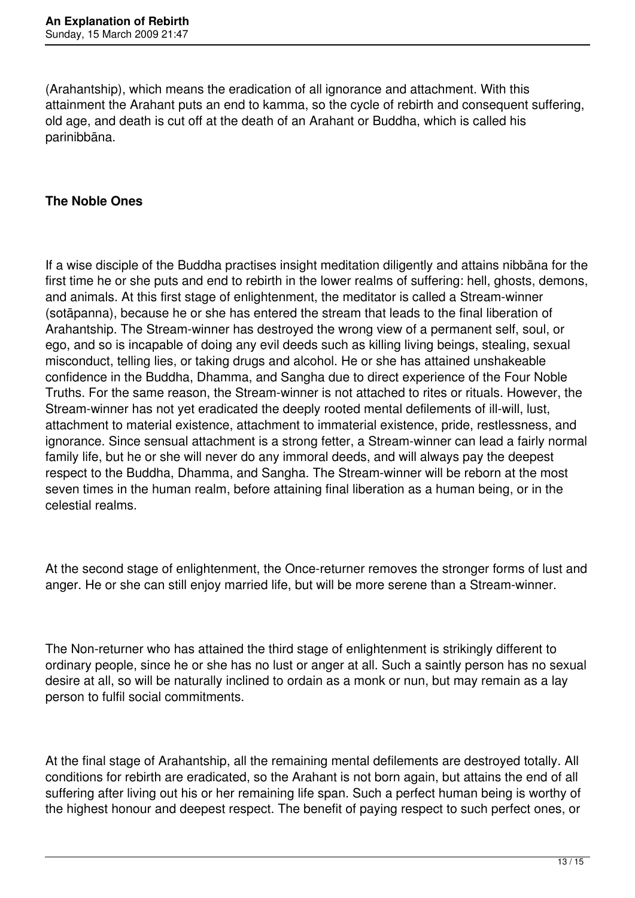(Arahantship), which means the eradication of all ignorance and attachment. With this attainment the Arahant puts an end to kamma, so the cycle of rebirth and consequent suffering, old age, and death is cut off at the death of an Arahant or Buddha, which is called his parinibbāna.

#### **The Noble Ones**

If a wise disciple of the Buddha practises insight meditation diligently and attains nibbāna for the first time he or she puts and end to rebirth in the lower realms of suffering: hell, ghosts, demons, and animals. At this first stage of enlightenment, the meditator is called a Stream-winner (sotāpanna), because he or she has entered the stream that leads to the final liberation of Arahantship. The Stream-winner has destroyed the wrong view of a permanent self, soul, or ego, and so is incapable of doing any evil deeds such as killing living beings, stealing, sexual misconduct, telling lies, or taking drugs and alcohol. He or she has attained unshakeable confidence in the Buddha, Dhamma, and Sangha due to direct experience of the Four Noble Truths. For the same reason, the Stream-winner is not attached to rites or rituals. However, the Stream-winner has not yet eradicated the deeply rooted mental defilements of ill-will, lust, attachment to material existence, attachment to immaterial existence, pride, restlessness, and ignorance. Since sensual attachment is a strong fetter, a Stream-winner can lead a fairly normal family life, but he or she will never do any immoral deeds, and will always pay the deepest respect to the Buddha, Dhamma, and Sangha. The Stream-winner will be reborn at the most seven times in the human realm, before attaining final liberation as a human being, or in the celestial realms.

At the second stage of enlightenment, the Once-returner removes the stronger forms of lust and anger. He or she can still enjoy married life, but will be more serene than a Stream-winner.

The Non-returner who has attained the third stage of enlightenment is strikingly different to ordinary people, since he or she has no lust or anger at all. Such a saintly person has no sexual desire at all, so will be naturally inclined to ordain as a monk or nun, but may remain as a lay person to fulfil social commitments.

At the final stage of Arahantship, all the remaining mental defilements are destroyed totally. All conditions for rebirth are eradicated, so the Arahant is not born again, but attains the end of all suffering after living out his or her remaining life span. Such a perfect human being is worthy of the highest honour and deepest respect. The benefit of paying respect to such perfect ones, or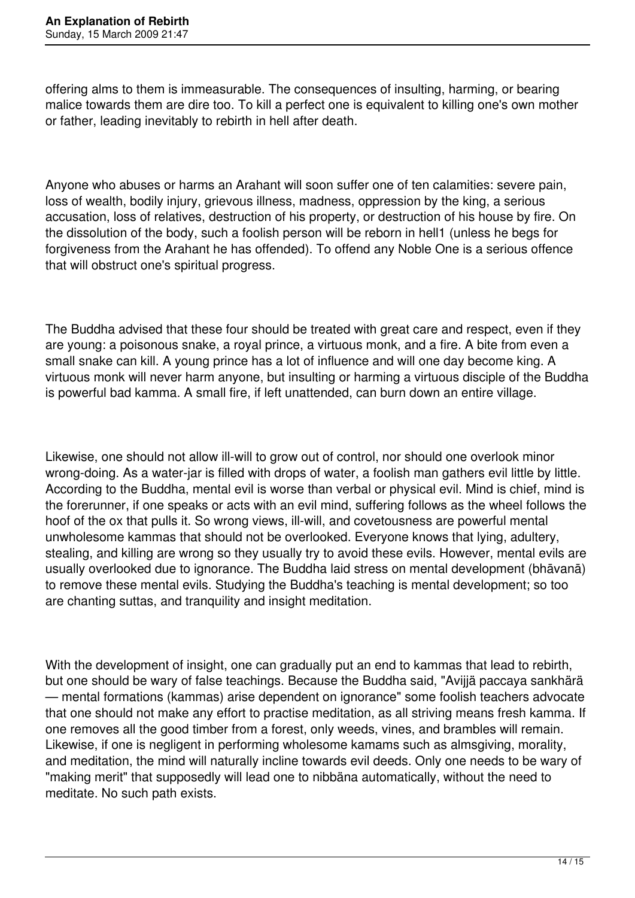offering alms to them is immeasurable. The consequences of insulting, harming, or bearing malice towards them are dire too. To kill a perfect one is equivalent to killing one's own mother or father, leading inevitably to rebirth in hell after death.

Anyone who abuses or harms an Arahant will soon suffer one of ten calamities: severe pain, loss of wealth, bodily injury, grievous illness, madness, oppression by the king, a serious accusation, loss of relatives, destruction of his property, or destruction of his house by fire. On the dissolution of the body, such a foolish person will be reborn in hell1 (unless he begs for forgiveness from the Arahant he has offended). To offend any Noble One is a serious offence that will obstruct one's spiritual progress.

The Buddha advised that these four should be treated with great care and respect, even if they are young: a poisonous snake, a royal prince, a virtuous monk, and a fire. A bite from even a small snake can kill. A young prince has a lot of influence and will one day become king. A virtuous monk will never harm anyone, but insulting or harming a virtuous disciple of the Buddha is powerful bad kamma. A small fire, if left unattended, can burn down an entire village.

Likewise, one should not allow ill-will to grow out of control, nor should one overlook minor wrong-doing. As a water-jar is filled with drops of water, a foolish man gathers evil little by little. According to the Buddha, mental evil is worse than verbal or physical evil. Mind is chief, mind is the forerunner, if one speaks or acts with an evil mind, suffering follows as the wheel follows the hoof of the ox that pulls it. So wrong views, ill-will, and covetousness are powerful mental unwholesome kammas that should not be overlooked. Everyone knows that lying, adultery, stealing, and killing are wrong so they usually try to avoid these evils. However, mental evils are usually overlooked due to ignorance. The Buddha laid stress on mental development (bhāvanā) to remove these mental evils. Studying the Buddha's teaching is mental development; so too are chanting suttas, and tranquility and insight meditation.

With the development of insight, one can gradually put an end to kammas that lead to rebirth, but one should be wary of false teachings. Because the Buddha said, "Avijjä paccaya sankhärä — mental formations (kammas) arise dependent on ignorance" some foolish teachers advocate that one should not make any effort to practise meditation, as all striving means fresh kamma. If one removes all the good timber from a forest, only weeds, vines, and brambles will remain. Likewise, if one is negligent in performing wholesome kamams such as almsgiving, morality, and meditation, the mind will naturally incline towards evil deeds. Only one needs to be wary of "making merit" that supposedly will lead one to nibbäna automatically, without the need to meditate. No such path exists.